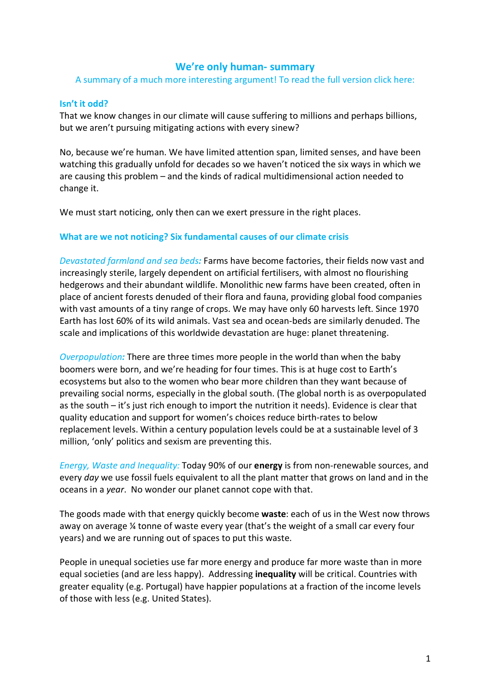# **We're only human- summary**

A summary of a much more interesting argument! To read the full version click here:

### **Isn't it odd?**

That we know changes in our climate will cause suffering to millions and perhaps billions, but we aren't pursuing mitigating actions with every sinew?

No, because we're human. We have limited attention span, limited senses, and have been watching this gradually unfold for decades so we haven't noticed the six ways in which we are causing this problem – and the kinds of radical multidimensional action needed to change it.

We must start noticing, only then can we exert pressure in the right places.

## **What are we not noticing? Six fundamental causes of our climate crisis**

*Devastated farmland and sea beds:* Farms have become factories, their fields now vast and increasingly sterile, largely dependent on artificial fertilisers, with almost no flourishing hedgerows and their abundant wildlife. Monolithic new farms have been created, often in place of ancient forests denuded of their flora and fauna, providing global food companies with vast amounts of a tiny range of crops. We may have only 60 harvests left. Since 1970 Earth has lost 60% of its wild animals. Vast sea and ocean-beds are similarly denuded. The scale and implications of this worldwide devastation are huge: planet threatening.

*Overpopulation:* There are three times more people in the world than when the baby boomers were born, and we're heading for four times. This is at huge cost to Earth's ecosystems but also to the women who bear more children than they want because of prevailing social norms, especially in the global south. (The global north is as overpopulated as the south – it's just rich enough to import the nutrition it needs). Evidence is clear that quality education and support for women's choices reduce birth-rates to below replacement levels. Within a century population levels could be at a sustainable level of 3 million, 'only' politics and sexism are preventing this.

*Energy, Waste and Inequality:* Today 90% of our **energy** is from non-renewable sources, and every *day* we use fossil fuels equivalent to all the plant matter that grows on land and in the oceans in a *year*. No wonder our planet cannot cope with that.

The goods made with that energy quickly become **waste**: each of us in the West now throws away on average ¼ tonne of waste every year (that's the weight of a small car every four years) and we are running out of spaces to put this waste.

People in unequal societies use far more energy and produce far more waste than in more equal societies (and are less happy). Addressing **inequality** will be critical. Countries with greater equality (e.g. Portugal) have happier populations at a fraction of the income levels of those with less (e.g. United States).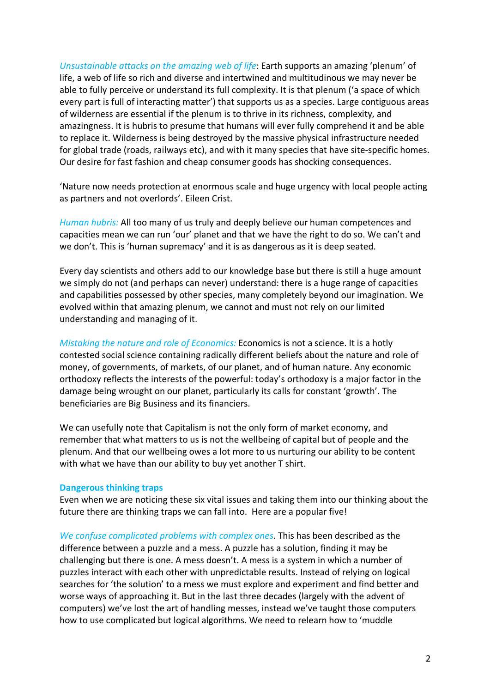*Unsustainable attacks on the amazing web of life*: Earth supports an amazing 'plenum' of life, a web of life so rich and diverse and intertwined and multitudinous we may never be able to fully perceive or understand its full complexity. It is that plenum ('a space of which every part is full of interacting matter') that supports us as a species. Large contiguous areas of wilderness are essential if the plenum is to thrive in its richness, complexity, and amazingness. It is hubris to presume that humans will ever fully comprehend it and be able to replace it. Wilderness is being destroyed by the massive physical infrastructure needed for global trade (roads, railways etc), and with it many species that have site-specific homes. Our desire for fast fashion and cheap consumer goods has shocking consequences.

'Nature now needs protection at enormous scale and huge urgency with local people acting as partners and not overlords'. Eileen Crist.

*Human hubris:* All too many of us truly and deeply believe our human competences and capacities mean we can run 'our' planet and that we have the right to do so. We can't and we don't. This is 'human supremacy' and it is as dangerous as it is deep seated.

Every day scientists and others add to our knowledge base but there is still a huge amount we simply do not (and perhaps can never) understand: there is a huge range of capacities and capabilities possessed by other species, many completely beyond our imagination. We evolved within that amazing plenum, we cannot and must not rely on our limited understanding and managing of it.

*Mistaking the nature and role of Economics:* Economics is not a science. It is a hotly contested social science containing radically different beliefs about the nature and role of money, of governments, of markets, of our planet, and of human nature. Any economic orthodoxy reflects the interests of the powerful: today's orthodoxy is a major factor in the damage being wrought on our planet, particularly its calls for constant 'growth'. The beneficiaries are Big Business and its financiers.

We can usefully note that Capitalism is not the only form of market economy, and remember that what matters to us is not the wellbeing of capital but of people and the plenum. And that our wellbeing owes a lot more to us nurturing our ability to be content with what we have than our ability to buy yet another T shirt.

## **Dangerous thinking traps**

Even when we are noticing these six vital issues and taking them into our thinking about the future there are thinking traps we can fall into. Here are a popular five!

*We confuse complicated problems with complex ones*. This has been described as the difference between a puzzle and a mess. A puzzle has a solution, finding it may be challenging but there is one. A mess doesn't. A mess is a system in which a number of puzzles interact with each other with unpredictable results. Instead of relying on logical searches for 'the solution' to a mess we must explore and experiment and find better and worse ways of approaching it. But in the last three decades (largely with the advent of computers) we've lost the art of handling messes, instead we've taught those computers how to use complicated but logical algorithms. We need to relearn how to 'muddle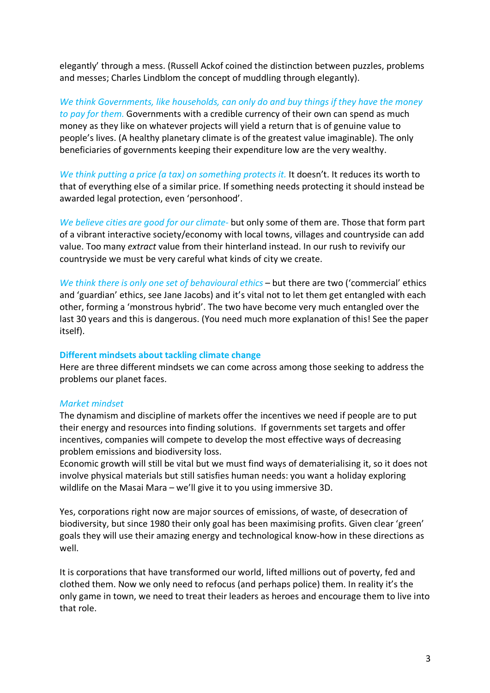elegantly' through a mess. (Russell Ackof coined the distinction between puzzles, problems and messes; Charles Lindblom the concept of muddling through elegantly).

*We think Governments, like households, can only do and buy things if they have the money to pay for them.* Governments with a credible currency of their own can spend as much money as they like on whatever projects will yield a return that is of genuine value to people's lives. (A healthy planetary climate is of the greatest value imaginable). The only beneficiaries of governments keeping their expenditure low are the very wealthy.

*We think putting a price (a tax) on something protects it.* It doesn't. It reduces its worth to that of everything else of a similar price. If something needs protecting it should instead be awarded legal protection, even 'personhood'.

*We believe cities are good for our climate-* but only some of them are. Those that form part of a vibrant interactive society/economy with local towns, villages and countryside can add value. Too many *extract* value from their hinterland instead. In our rush to revivify our countryside we must be very careful what kinds of city we create.

*We think there is only one set of behavioural ethics* – but there are two ('commercial' ethics and 'guardian' ethics, see Jane Jacobs) and it's vital not to let them get entangled with each other, forming a 'monstrous hybrid'. The two have become very much entangled over the last 30 years and this is dangerous. (You need much more explanation of this! See the paper itself).

## **Different mindsets about tackling climate change**

Here are three different mindsets we can come across among those seeking to address the problems our planet faces.

## *Market mindset*

The dynamism and discipline of markets offer the incentives we need if people are to put their energy and resources into finding solutions. If governments set targets and offer incentives, companies will compete to develop the most effective ways of decreasing problem emissions and biodiversity loss.

Economic growth will still be vital but we must find ways of dematerialising it, so it does not involve physical materials but still satisfies human needs: you want a holiday exploring wildlife on the Masai Mara – we'll give it to you using immersive 3D.

Yes, corporations right now are major sources of emissions, of waste, of desecration of biodiversity, but since 1980 their only goal has been maximising profits. Given clear 'green' goals they will use their amazing energy and technological know-how in these directions as well.

It is corporations that have transformed our world, lifted millions out of poverty, fed and clothed them. Now we only need to refocus (and perhaps police) them. In reality it's the only game in town, we need to treat their leaders as heroes and encourage them to live into that role.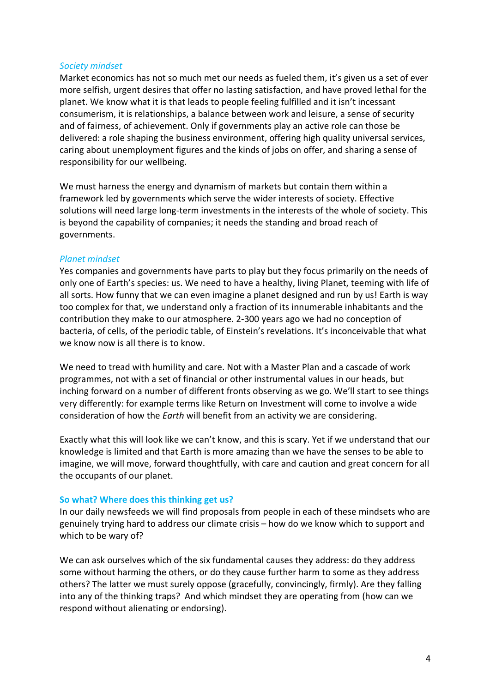#### *Society mindset*

Market economics has not so much met our needs as fueled them, it's given us a set of ever more selfish, urgent desires that offer no lasting satisfaction, and have proved lethal for the planet. We know what it is that leads to people feeling fulfilled and it isn't incessant consumerism, it is relationships, a balance between work and leisure, a sense of security and of fairness, of achievement. Only if governments play an active role can those be delivered: a role shaping the business environment, offering high quality universal services, caring about unemployment figures and the kinds of jobs on offer, and sharing a sense of responsibility for our wellbeing.

We must harness the energy and dynamism of markets but contain them within a framework led by governments which serve the wider interests of society. Effective solutions will need large long-term investments in the interests of the whole of society. This is beyond the capability of companies; it needs the standing and broad reach of governments.

#### *Planet mindset*

Yes companies and governments have parts to play but they focus primarily on the needs of only one of Earth's species: us. We need to have a healthy, living Planet, teeming with life of all sorts. How funny that we can even imagine a planet designed and run by us! Earth is way too complex for that, we understand only a fraction of its innumerable inhabitants and the contribution they make to our atmosphere. 2-300 years ago we had no conception of bacteria, of cells, of the periodic table, of Einstein's revelations. It's inconceivable that what we know now is all there is to know.

We need to tread with humility and care. Not with a Master Plan and a cascade of work programmes, not with a set of financial or other instrumental values in our heads, but inching forward on a number of different fronts observing as we go. We'll start to see things very differently: for example terms like Return on Investment will come to involve a wide consideration of how the *Earth* will benefit from an activity we are considering.

Exactly what this will look like we can't know, and this is scary. Yet if we understand that our knowledge is limited and that Earth is more amazing than we have the senses to be able to imagine, we will move, forward thoughtfully, with care and caution and great concern for all the occupants of our planet.

#### **So what? Where does this thinking get us?**

In our daily newsfeeds we will find proposals from people in each of these mindsets who are genuinely trying hard to address our climate crisis – how do we know which to support and which to be wary of?

We can ask ourselves which of the six fundamental causes they address: do they address some without harming the others, or do they cause further harm to some as they address others? The latter we must surely oppose (gracefully, convincingly, firmly). Are they falling into any of the thinking traps? And which mindset they are operating from (how can we respond without alienating or endorsing).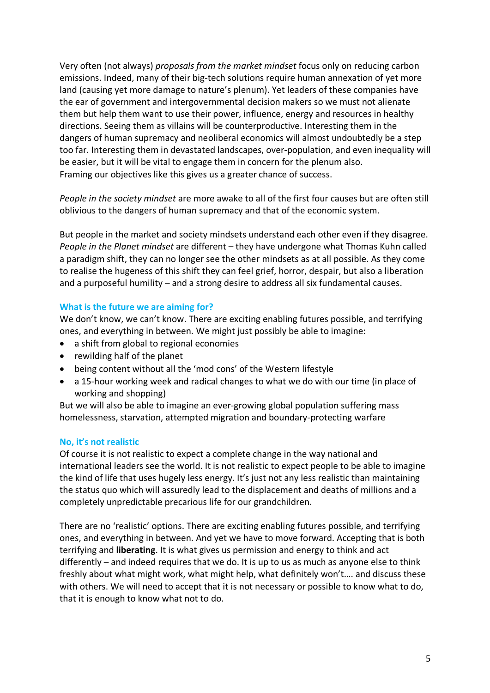Very often (not always) *proposals from the market mindset* focus only on reducing carbon emissions. Indeed, many of their big-tech solutions require human annexation of yet more land (causing yet more damage to nature's plenum). Yet leaders of these companies have the ear of government and intergovernmental decision makers so we must not alienate them but help them want to use their power, influence, energy and resources in healthy directions. Seeing them as villains will be counterproductive. Interesting them in the dangers of human supremacy and neoliberal economics will almost undoubtedly be a step too far. Interesting them in devastated landscapes, over-population, and even inequality will be easier, but it will be vital to engage them in concern for the plenum also. Framing our objectives like this gives us a greater chance of success.

*People in the society mindset* are more awake to all of the first four causes but are often still oblivious to the dangers of human supremacy and that of the economic system.

But people in the market and society mindsets understand each other even if they disagree. *People in the Planet mindset* are different – they have undergone what Thomas Kuhn called a paradigm shift, they can no longer see the other mindsets as at all possible. As they come to realise the hugeness of this shift they can feel grief, horror, despair, but also a liberation and a purposeful humility – and a strong desire to address all six fundamental causes.

# **What is the future we are aiming for?**

We don't know, we can't know. There are exciting enabling futures possible, and terrifying ones, and everything in between. We might just possibly be able to imagine:

- a shift from global to regional economies
- rewilding half of the planet
- being content without all the 'mod cons' of the Western lifestyle
- a 15-hour working week and radical changes to what we do with our time (in place of working and shopping)

But we will also be able to imagine an ever-growing global population suffering mass homelessness, starvation, attempted migration and boundary-protecting warfare

## **No, it's not realistic**

Of course it is not realistic to expect a complete change in the way national and international leaders see the world. It is not realistic to expect people to be able to imagine the kind of life that uses hugely less energy. It's just not any less realistic than maintaining the status quo which will assuredly lead to the displacement and deaths of millions and a completely unpredictable precarious life for our grandchildren.

There are no 'realistic' options. There are exciting enabling futures possible, and terrifying ones, and everything in between. And yet we have to move forward. Accepting that is both terrifying and **liberating**. It is what gives us permission and energy to think and act differently – and indeed requires that we do. It is up to us as much as anyone else to think freshly about what might work, what might help, what definitely won't…. and discuss these with others. We will need to accept that it is not necessary or possible to know what to do, that it is enough to know what not to do.